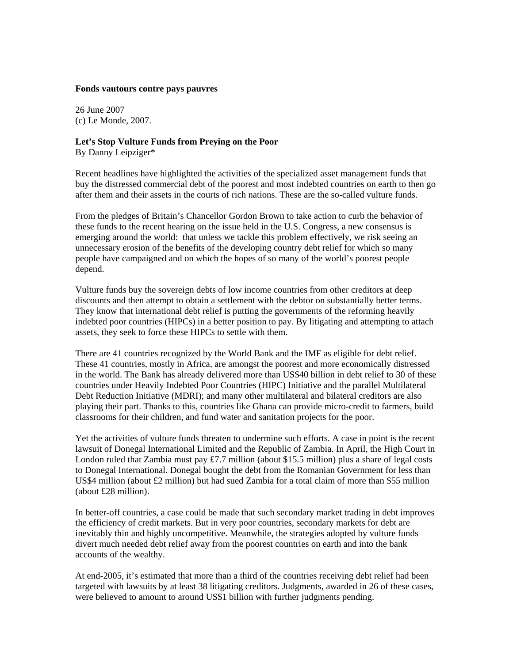## **Fonds vautours contre pays pauvres**

26 June 2007 (c) Le Monde, 2007.

## **Let's Stop Vulture Funds from Preying on the Poor**

By Danny Leipziger\*

Recent headlines have highlighted the activities of the specialized asset management funds that buy the distressed commercial debt of the poorest and most indebted countries on earth to then go after them and their assets in the courts of rich nations. These are the so-called vulture funds.

From the pledges of Britain's Chancellor Gordon Brown to take action to curb the behavior of these funds to the recent hearing on the issue held in the U.S. Congress, a new consensus is emerging around the world: that unless we tackle this problem effectively, we risk seeing an unnecessary erosion of the benefits of the developing country debt relief for which so many people have campaigned and on which the hopes of so many of the world's poorest people depend.

Vulture funds buy the sovereign debts of low income countries from other creditors at deep discounts and then attempt to obtain a settlement with the debtor on substantially better terms. They know that international debt relief is putting the governments of the reforming heavily indebted poor countries (HIPCs) in a better position to pay. By litigating and attempting to attach assets, they seek to force these HIPCs to settle with them.

There are 41 countries recognized by the World Bank and the IMF as eligible for debt relief. These 41 countries, mostly in Africa, are amongst the poorest and more economically distressed in the world. The Bank has already delivered more than US\$40 billion in debt relief to 30 of these countries under Heavily Indebted Poor Countries (HIPC) Initiative and the parallel Multilateral Debt Reduction Initiative (MDRI); and many other multilateral and bilateral creditors are also playing their part. Thanks to this, countries like Ghana can provide micro-credit to farmers, build classrooms for their children, and fund water and sanitation projects for the poor.

Yet the activities of vulture funds threaten to undermine such efforts. A case in point is the recent lawsuit of Donegal International Limited and the Republic of Zambia. In April, the High Court in London ruled that Zambia must pay £7.7 million (about \$15.5 million) plus a share of legal costs to Donegal International. Donegal bought the debt from the Romanian Government for less than US\$4 million (about £2 million) but had sued Zambia for a total claim of more than \$55 million (about £28 million).

In better-off countries, a case could be made that such secondary market trading in debt improves the efficiency of credit markets. But in very poor countries, secondary markets for debt are inevitably thin and highly uncompetitive. Meanwhile, the strategies adopted by vulture funds divert much needed debt relief away from the poorest countries on earth and into the bank accounts of the wealthy.

At end-2005, it's estimated that more than a third of the countries receiving debt relief had been targeted with lawsuits by at least 38 litigating creditors. Judgments, awarded in 26 of these cases, were believed to amount to around US\$1 billion with further judgments pending.